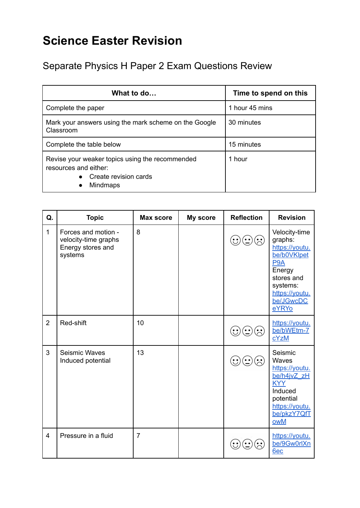## **Science Easter Revision**

Separate Physics H Paper 2 Exam Questions Review

| What to do                                                                                                                        | Time to spend on this |  |
|-----------------------------------------------------------------------------------------------------------------------------------|-----------------------|--|
| Complete the paper                                                                                                                | 1 hour 45 mins        |  |
| Mark your answers using the mark scheme on the Google<br>Classroom                                                                | 30 minutes            |  |
| Complete the table below                                                                                                          | 15 minutes            |  |
| Revise your weaker topics using the recommended<br>resources and either:<br>Create revision cards<br><b>Mindmaps</b><br>$\bullet$ | 1 hour                |  |

| Q.                      | <b>Topic</b>                                                                | <b>Max score</b> | My score | <b>Reflection</b>             | <b>Revision</b>                                                                                                                                           |
|-------------------------|-----------------------------------------------------------------------------|------------------|----------|-------------------------------|-----------------------------------------------------------------------------------------------------------------------------------------------------------|
| $\mathbf{1}$            | Forces and motion -<br>velocity-time graphs<br>Energy stores and<br>systems | 8                |          |                               | Velocity-time<br>graphs:<br>https://youtu.<br>be/b0VKlpet<br>P <sub>9</sub> A<br>Energy<br>stores and<br>systems:<br>https://youtu.<br>be/JGwcDC<br>eYRYo |
| $\overline{2}$          | Red-shift                                                                   | 10               |          | $\left( \cdot, \cdot \right)$ | https://youtu.<br>be/bWEtm-7<br>cYzM                                                                                                                      |
| 3                       | Seismic Waves<br>Induced potential                                          | 13               |          | $(\div)$                      | Seismic<br>Waves<br>https://youtu.<br>be/h4jvZ_zH<br><b>KYY</b><br>Induced<br>potential<br>https://youtu.<br>be/pkzY7QfT<br>owM                           |
| $\overline{\mathbf{4}}$ | Pressure in a fluid                                                         | $\overline{7}$   |          |                               | https://youtu.<br>be/9Gw0rlXn<br>6ec                                                                                                                      |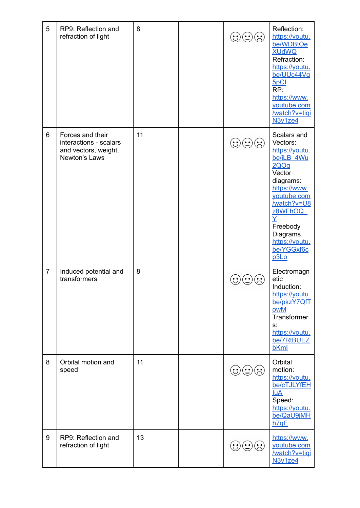| 5              | RP9: Reflection and<br>refraction of light                                          | 8  | $\mathbf{C}(\mathbf{C})\mathbf{C}(\mathbf{C})$ | Reflection:<br>https://youtu.<br>be/WDBtOe<br><b>XUdWQ</b><br>Refraction:<br>https://youtu.<br>be/UUc44Vg<br>5pCl<br>RP:<br>https://www.<br>youtube.com<br>/watch?v=tiqi<br>N <sub>3v1ze4</sub>                      |
|----------------|-------------------------------------------------------------------------------------|----|------------------------------------------------|----------------------------------------------------------------------------------------------------------------------------------------------------------------------------------------------------------------------|
| 6              | Forces and their<br>interactions - scalars<br>and vectors, weight,<br>Newton's Laws | 11 | $\mathbf{C}(\mathbf{C})$                       | Scalars and<br>Vectors:<br>https://youtu.<br>be/iLB 4Wu<br>2QOq<br>Vector<br>diagrams:<br>https://www.<br>youtube.com<br>/watch?v=U8<br>z8WFhOQ<br>Ÿ<br>Freebody<br>Diagrams<br>https://youtu.<br>be/YGGxf6c<br>p3Lo |
| $\overline{7}$ | Induced potential and<br>transformers                                               | 8  |                                                | Electromagn<br>etic<br>Induction:<br>https://youtu.<br>be/pkzY7QfT<br>owM<br>Transformer<br>s:<br>https://youtu.<br>be/7RtBUEZ<br>bKml                                                                               |
| 8              | Orbital motion and<br>speed                                                         | 11 | $\mathbf{C}(\mathbf{C})$                       | Orbital<br>motion:<br>https://youtu.<br>be/cTJLYfEH<br><u>luA</u><br>Speed:<br>https://youtu.<br>be/QaU9jMH<br>h7qE                                                                                                  |
| 9              | RP9: Reflection and<br>refraction of light                                          | 13 | $\odot$<br>$\cdot \cdot$                       | https://www.<br>youtube.com<br>/watch?v=tiqi<br>N <sub>3y1ze4</sub>                                                                                                                                                  |